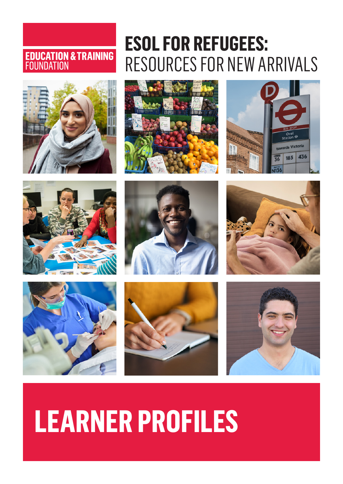# **EDUCATION & TRAINING**<br>FOUNDATION



# **ESOL FOR REFUGEES:**  RESOURCES FOR NEW ARRIVALS

















# **LEARNER PROFILES**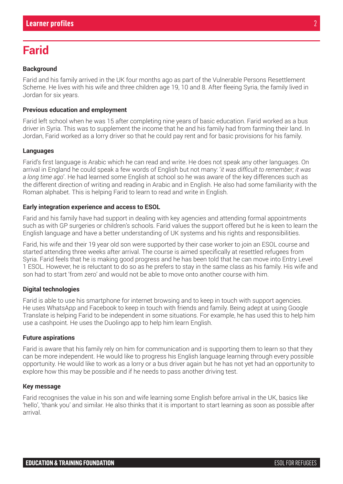# **Farid**

#### **Background**

Farid and his family arrived in the UK four months ago as part of the Vulnerable Persons Resettlement Scheme. He lives with his wife and three children age 19, 10 and 8. After fleeing Syria, the family lived in Jordan for six years.

#### **Previous education and employment**

Farid left school when he was 15 after completing nine years of basic education. Farid worked as a bus driver in Syria. This was to supplement the income that he and his family had from farming their land. In Jordan, Farid worked as a lorry driver so that he could pay rent and for basic provisions for his family.

#### **Languages**

Farid's first language is Arabic which he can read and write. He does not speak any other languages. On arrival in England he could speak a few words of English but not many: '*it was difficult to remember; it was a long time ago*'. He had learned some English at school so he was aware of the key differences such as the different direction of writing and reading in Arabic and in English. He also had some familiarity with the Roman alphabet. This is helping Farid to learn to read and write in English.

#### **Early integration experience and access to ESOL**

Farid and his family have had support in dealing with key agencies and attending formal appointments such as with GP surgeries or children's schools. Farid values the support offered but he is keen to learn the English language and have a better understanding of UK systems and his rights and responsibilities.

Farid, his wife and their 19 year old son were supported by their case worker to join an ESOL course and started attending three weeks after arrival. The course is aimed specifically at resettled refugees from Syria. Farid feels that he is making good progress and he has been told that he can move into Entry Level 1 ESOL. However, he is reluctant to do so as he prefers to stay in the same class as his family. His wife and son had to start 'from zero' and would not be able to move onto another course with him.

#### **Digital technologies**

Farid is able to use his smartphone for internet browsing and to keep in touch with support agencies. He uses WhatsApp and Facebook to keep in touch with friends and family. Being adept at using Google Translate is helping Farid to be independent in some situations. For example, he has used this to help him use a cashpoint. He uses the Duolingo app to help him learn English.

#### **Future aspirations**

Farid is aware that his family rely on him for communication and is supporting them to learn so that they can be more independent. He would like to progress his English language learning through every possible opportunity. He would like to work as a lorry or a bus driver again but he has not yet had an opportunity to explore how this may be possible and if he needs to pass another driving test.

#### **Key message**

Farid recognises the value in his son and wife learning some English before arrival in the UK, basics like 'hello', 'thank you' and similar. He also thinks that it is important to start learning as soon as possible after arrival.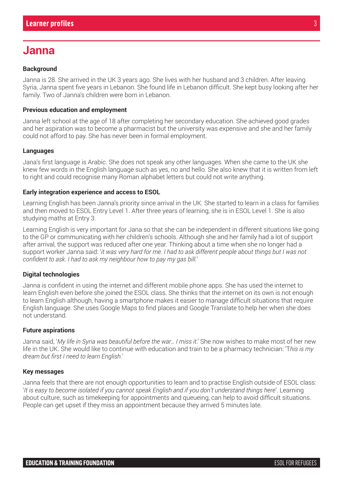## **Janna**

#### **Background**

Janna is 28. She arrived in the UK 3 years ago. She lives with her husband and 3 children. After leaving Syria, Janna spent five years in Lebanon. She found life in Lebanon difficult. She kept busy looking after her family. Two of Janna's children were born in Lebanon.

#### **Previous education and employment**

Janna left school at the age of 18 after completing her secondary education. She achieved good grades and her aspiration was to become a pharmacist but the university was expensive and she and her family could not afford to pay. She has never been in formal employment.

#### **Languages**

Jana's first language is Arabic. She does not speak any other languages. When she came to the UK she knew few words in the English language such as yes, no and hello. She also knew that it is written from left to right and could recognise many Roman alphabet letters but could not write anything.

#### **Early integration experience and access to ESOL**

Learning English has been Janna's priority since arrival in the UK. She started to learn in a class for families and then moved to ESOL Entry Level 1. After three years of learning, she is in ESOL Level 1. She is also studying maths at Entry 3.

Learning English is very important for Jana so that she can be independent in different situations like going to the GP or communicating with her children's schools. Although she and her family had a lot of support after arrival, the support was reduced after one year. Thinking about a time when she no longer had a support worker Janna said: '*it was very hard for me. I had to ask different people about things but I was not confident to ask. I had to ask my neighbour how to pay my gas bill.*'

#### **Digital technologies**

Janna is confident in using the internet and different mobile phone apps. She has used the internet to learn English even before she joined the ESOL class. She thinks that the internet on its own is not enough to learn English although, having a smartphone makes it easier to manage difficult situations that require English language. She uses Google Maps to find places and Google Translate to help her when she does not understand.

#### **Future aspirations**

Janna said, '*My life in Syria was beautiful before the war… I miss it*.' She now wishes to make most of her new life in the UK. She would like to continue with education and train to be a pharmacy technician: 'T*his is my dream but first I need to learn English.*'

#### **Key messages**

Janna feels that there are not enough opportunities to learn and to practise English outside of ESOL class: '*It is easy to become isolated if you cannot speak English and if you don't understand things here*'. Learning about culture, such as timekeeping for appointments and queueing, can help to avoid difficult situations. People can get upset if they miss an appointment because they arrived 5 minutes late.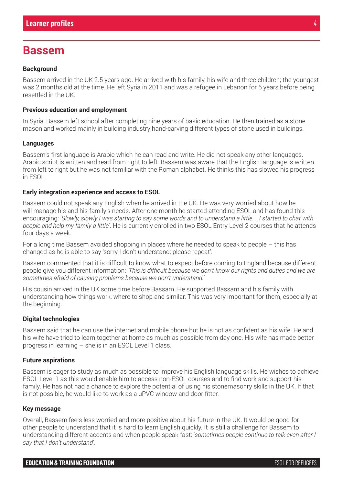## **Bassem**

#### **Background**

Bassem arrived in the UK 2.5 years ago. He arrived with his family, his wife and three children; the youngest was 2 months old at the time. He left Syria in 2011 and was a refugee in Lebanon for 5 years before being resettled in the UK.

#### **Previous education and employment**

In Syria, Bassem left school after completing nine years of basic education. He then trained as a stone mason and worked mainly in building industry hand-carving different types of stone used in buildings.

#### **Languages**

Bassem's first language is Arabic which he can read and write. He did not speak any other languages. Arabic script is written and read from right to left. Bassem was aware that the English language is written from left to right but he was not familiar with the Roman alphabet. He thinks this has slowed his progress in ESOL.

#### **Early integration experience and access to ESOL**

Bassem could not speak any English when he arrived in the UK. He was very worried about how he will manage his and his family's needs. After one month he started attending ESOL and has found this encouraging: '*Slowly, slowly I was starting to say some words and to understand a little. …I started to chat with people and help my family a little*'. He is currently enrolled in two ESOL Entry Level 2 courses that he attends four days a week.

For a long time Bassem avoided shopping in places where he needed to speak to people  $-$  this has changed as he is able to say 'sorry I don't understand; please repeat'.

Bassem commented that it is difficult to know what to expect before coming to England because different people give you different information: '*This is difficult because we don't know our rights and duties and we are sometimes afraid of causing problems because we don't understand.*'

His cousin arrived in the UK some time before Bassam. He supported Bassam and his family with understanding how things work, where to shop and similar. This was very important for them, especially at the beginning.

#### **Digital technologies**

Bassem said that he can use the internet and mobile phone but he is not as confident as his wife. He and his wife have tried to learn together at home as much as possible from day one. His wife has made better progress in learning – she is in an ESOL Level 1 class.

#### **Future aspirations**

Bassem is eager to study as much as possible to improve his English language skills. He wishes to achieve ESOL Level 1 as this would enable him to access non-ESOL courses and to find work and support his family. He has not had a chance to explore the potential of using his stonemasonry skills in the UK. If that is not possible, he would like to work as a uPVC window and door fitter.

#### **Key message**

Overall, Bassem feels less worried and more positive about his future in the UK. It would be good for other people to understand that it is hard to learn English quickly. It is still a challenge for Bassem to understanding different accents and when people speak fast: '*sometimes people continue to talk even after I say that I don't understand*'.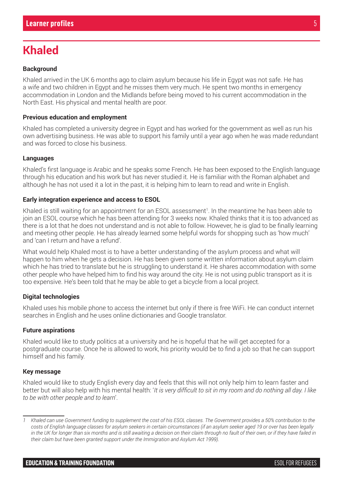# **Khaled**

#### **Background**

Khaled arrived in the UK 6 months ago to claim asylum because his life in Egypt was not safe. He has a wife and two children in Egypt and he misses them very much. He spent two months in emergency accommodation in London and the Midlands before being moved to his current accommodation in the North East. His physical and mental health are poor.

#### **Previous education and employment**

Khaled has completed a university degree in Egypt and has worked for the government as well as run his own advertising business. He was able to support his family until a year ago when he was made redundant and was forced to close his business.

#### **Languages**

Khaled's first language is Arabic and he speaks some French. He has been exposed to the English language through his education and his work but has never studied it. He is familiar with the Roman alphabet and although he has not used it a lot in the past, it is helping him to learn to read and write in English.

#### **Early integration experience and access to ESOL**

Khaled is still waiting for an appointment for an ESOL assessment1. In the meantime he has been able to join an ESOL course which he has been attending for 3 weeks now. Khaled thinks that it is too advanced as there is a lot that he does not understand and is not able to follow. However, he is glad to be finally learning and meeting other people. He has already learned some helpful words for shopping such as 'how much' and 'can I return and have a refund'.

What would help Khaled most is to have a better understanding of the asylum process and what will happen to him when he gets a decision. He has been given some written information about asylum claim which he has tried to translate but he is struggling to understand it. He shares accommodation with some other people who have helped him to find his way around the city. He is not using public transport as it is too expensive. He's been told that he may be able to get a bicycle from a local project.

#### **Digital technologies**

Khaled uses his mobile phone to access the internet but only if there is free WiFi. He can conduct internet searches in English and he uses online dictionaries and Google translator.

#### **Future aspirations**

Khaled would like to study politics at a university and he is hopeful that he will get accepted for a postgraduate course. Once he is allowed to work, his priority would be to find a job so that he can support himself and his family.

#### **Key message**

Khaled would like to study English every day and feels that this will not only help him to learn faster and better but will also help with his mental health: '*It is very difficult to sit in my room and do nothing all day. I like to be with other people and to learn*'.

*<sup>1</sup> Khaled can use Government funding to supplement the cost of his ESOL classes. The Government provides a 50% contribution to the costs of English language classes for asylum seekers in certain circumstances (if an asylum seeker aged 19 or over has been legally in the UK for longer than six months and is still awaiting a decision on their claim through no fault of their own, or if they have failed in their claim but have been granted support under the Immigration and Asylum Act 1999).*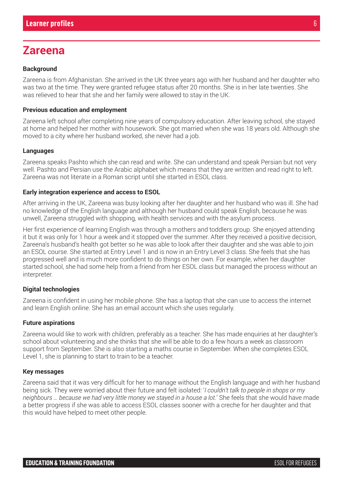## **Zareena**

#### **Background**

Zareena is from Afghanistan. She arrived in the UK three years ago with her husband and her daughter who was two at the time. They were granted refugee status after 20 months. She is in her late twenties. She was relieved to hear that she and her family were allowed to stay in the UK.

#### **Previous education and employment**

Zareena left school after completing nine years of compulsory education. After leaving school, she stayed at home and helped her mother with housework. She got married when she was 18 years old. Although she moved to a city where her husband worked, she never had a job.

#### **Languages**

Zareena speaks Pashto which she can read and write. She can understand and speak Persian but not very well. Pashto and Persian use the Arabic alphabet which means that they are written and read right to left. Zareena was not literate in a Roman script until she started in ESOL class.

#### **Early integration experience and access to ESOL**

After arriving in the UK, Zareena was busy looking after her daughter and her husband who was ill. She had no knowledge of the English language and although her husband could speak English, because he was unwell, Zareena struggled with shopping, with health services and with the asylum process.

Her first experience of learning English was through a mothers and toddlers group. She enjoyed attending it but it was only for 1 hour a week and it stopped over the summer. After they received a positive decision, Zareena's husband's health got better so he was able to look after their daughter and she was able to join an ESOL course. She started at Entry Level 1 and is now in an Entry Level 3 class. She feels that she has progressed well and is much more confident to do things on her own. For example, when her daughter started school, she had some help from a friend from her ESOL class but managed the process without an interpreter.

#### **Digital technologies**

Zareena is confident in using her mobile phone. She has a laptop that she can use to access the internet and learn English online. She has an email account which she uses regularly.

#### **Future aspirations**

Zareena would like to work with children, preferably as a teacher. She has made enquiries at her daughter's school about volunteering and she thinks that she will be able to do a few hours a week as classroom support from September. She is also starting a maths course in September. When she completes ESOL Level 1, she is planning to start to train to be a teacher.

#### **Key messages**

Zareena said that it was very difficult for her to manage without the English language and with her husband being sick. They were worried about their future and felt isolated: '*I couldn't talk to people in shops or my neighbours … because we had very little money we stayed in a house a lot.*' She feels that she would have made a better progress if she was able to access ESOL classes sooner with a creche for her daughter and that this would have helped to meet other people.